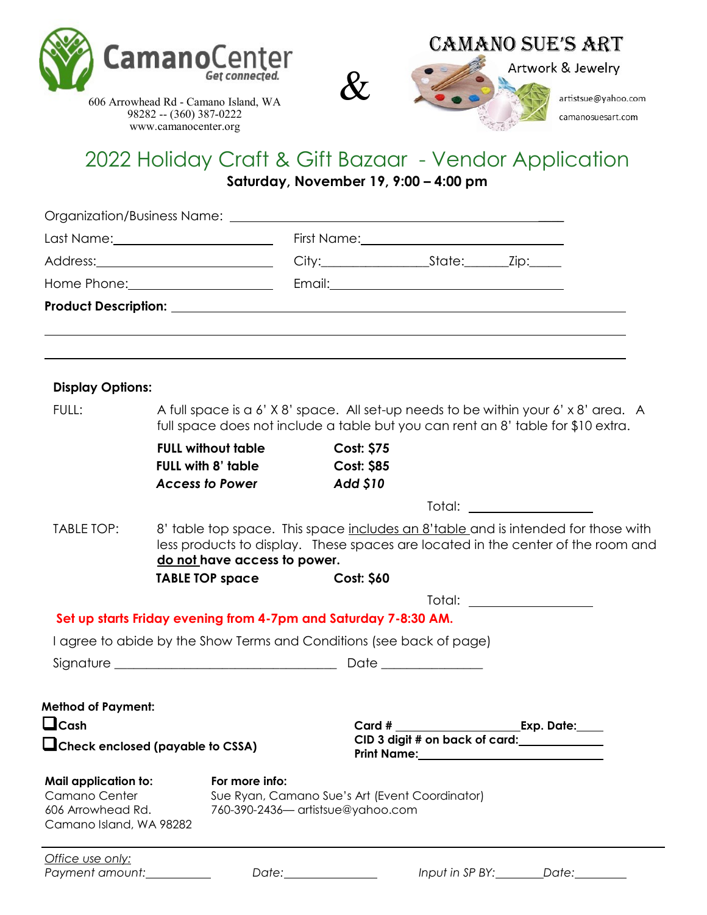







Artwork & Jewelry

606 Arrowhead Rd - Camano Island, WA 98282 -- (360) 387-0222 www.camanocenter.org

## 2022 Holiday Craft & Gift Bazaar - Vendor Application

**Saturday, November 19, 9:00 – 4:00 pm** 

| <b>Display Options:</b>                                                                      |                                                                                                                                                                                                                                                                                                                     |                                                                                     |                                                            |                           |  |
|----------------------------------------------------------------------------------------------|---------------------------------------------------------------------------------------------------------------------------------------------------------------------------------------------------------------------------------------------------------------------------------------------------------------------|-------------------------------------------------------------------------------------|------------------------------------------------------------|---------------------------|--|
| FULL:                                                                                        | A full space is a 6' X 8' space. All set-up needs to be within your 6' x 8' area. A<br>full space does not include a table but you can rent an 8' table for \$10 extra.                                                                                                                                             |                                                                                     |                                                            |                           |  |
|                                                                                              | <b>FULL without table</b>                                                                                                                                                                                                                                                                                           | <b>Cost: \$75</b>                                                                   |                                                            |                           |  |
|                                                                                              | <b>FULL with 8' table</b><br><b>Access to Power</b>                                                                                                                                                                                                                                                                 | <b>Cost: \$85</b><br><b>Add \$10</b>                                                |                                                            |                           |  |
|                                                                                              |                                                                                                                                                                                                                                                                                                                     |                                                                                     |                                                            |                           |  |
| TABLE TOP:                                                                                   | Total: the contract of the contract of the contract of the contract of the contract of the contract of the contract of the contract of the contract of the contract of the contract of the contract of the contract of the con<br>8' table top space. This space includes an 8'table and is intended for those with |                                                                                     |                                                            |                           |  |
|                                                                                              | less products to display. These spaces are located in the center of the room and                                                                                                                                                                                                                                    |                                                                                     |                                                            |                           |  |
|                                                                                              | do not have access to power.                                                                                                                                                                                                                                                                                        |                                                                                     |                                                            |                           |  |
|                                                                                              | <b>TABLE TOP space</b>                                                                                                                                                                                                                                                                                              | <b>Cost: \$60</b>                                                                   |                                                            |                           |  |
|                                                                                              | Set up starts Friday evening from 4-7pm and Saturday 7-8:30 AM.                                                                                                                                                                                                                                                     |                                                                                     |                                                            | Total: __________________ |  |
|                                                                                              | I agree to abide by the Show Terms and Conditions (see back of page)                                                                                                                                                                                                                                                |                                                                                     |                                                            |                           |  |
|                                                                                              |                                                                                                                                                                                                                                                                                                                     |                                                                                     |                                                            |                           |  |
|                                                                                              |                                                                                                                                                                                                                                                                                                                     |                                                                                     |                                                            |                           |  |
| <b>Method of Payment:</b>                                                                    |                                                                                                                                                                                                                                                                                                                     |                                                                                     |                                                            |                           |  |
| $\sqcup$ Cash                                                                                |                                                                                                                                                                                                                                                                                                                     | Card #                                                                              |                                                            | Exp. Date:                |  |
|                                                                                              | Check enclosed (payable to CSSA)                                                                                                                                                                                                                                                                                    |                                                                                     | CID 3 digit # on back of card:<br>Print Name:_____________ |                           |  |
| <b>Mail application to:</b><br>Camano Center<br>606 Arrowhead Rd.<br>Camano Island, WA 98282 | For more info:                                                                                                                                                                                                                                                                                                      | Sue Ryan, Camano Sue's Art (Event Coordinator)<br>760-390-2436- artistsue@yahoo.com |                                                            |                           |  |
| Office use only:<br>Payment amount:                                                          | Date:                                                                                                                                                                                                                                                                                                               |                                                                                     | Input in SP BY:                                            | Date:                     |  |